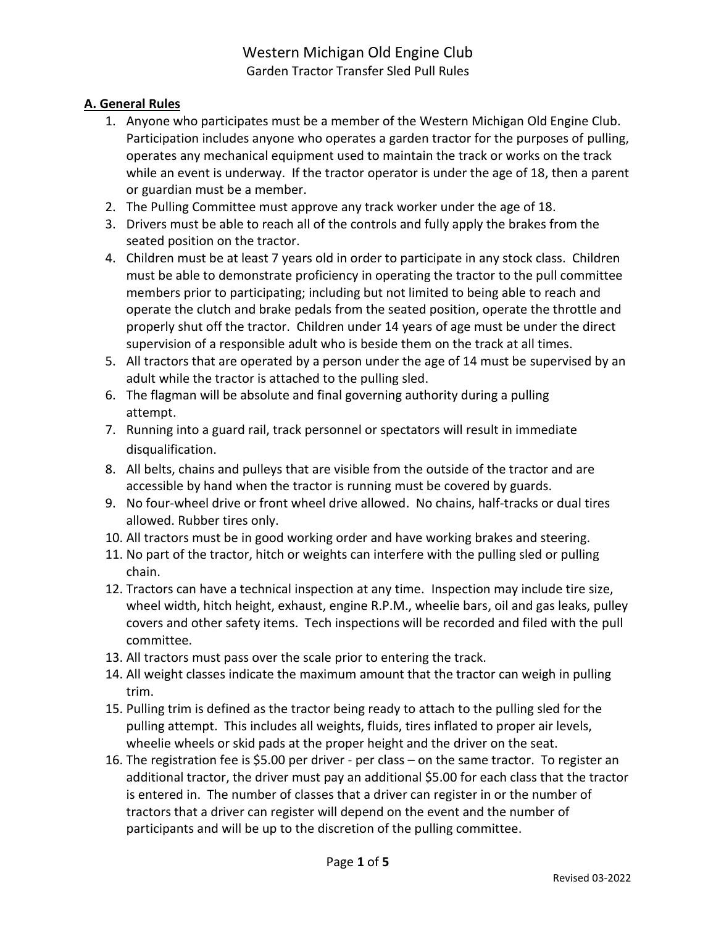# Western Michigan Old Engine Club Garden Tractor Transfer Sled Pull Rules

# **A. General Rules**

- 1. Anyone who participates must be a member of the Western Michigan Old Engine Club. Participation includes anyone who operates a garden tractor for the purposes of pulling, operates any mechanical equipment used to maintain the track or works on the track while an event is underway. If the tractor operator is under the age of 18, then a parent or guardian must be a member.
- 2. The Pulling Committee must approve any track worker under the age of 18.
- 3. Drivers must be able to reach all of the controls and fully apply the brakes from the seated position on the tractor.
- 4. Children must be at least 7 years old in order to participate in any stock class. Children must be able to demonstrate proficiency in operating the tractor to the pull committee members prior to participating; including but not limited to being able to reach and operate the clutch and brake pedals from the seated position, operate the throttle and properly shut off the tractor. Children under 14 years of age must be under the direct supervision of a responsible adult who is beside them on the track at all times.
- 5. All tractors that are operated by a person under the age of 14 must be supervised by an adult while the tractor is attached to the pulling sled.
- 6. The flagman will be absolute and final governing authority during a pulling attempt.
- 7. Running into a guard rail, track personnel or spectators will result in immediate disqualification.
- 8. All belts, chains and pulleys that are visible from the outside of the tractor and are accessible by hand when the tractor is running must be covered by guards.
- 9. No four-wheel drive or front wheel drive allowed. No chains, half-tracks or dual tires allowed. Rubber tires only.
- 10. All tractors must be in good working order and have working brakes and steering.
- 11. No part of the tractor, hitch or weights can interfere with the pulling sled or pulling chain.
- 12. Tractors can have a technical inspection at any time. Inspection may include tire size, wheel width, hitch height, exhaust, engine R.P.M., wheelie bars, oil and gas leaks, pulley covers and other safety items. Tech inspections will be recorded and filed with the pull committee.
- 13. All tractors must pass over the scale prior to entering the track.
- 14. All weight classes indicate the maximum amount that the tractor can weigh in pulling trim.
- 15. Pulling trim is defined as the tractor being ready to attach to the pulling sled for the pulling attempt. This includes all weights, fluids, tires inflated to proper air levels, wheelie wheels or skid pads at the proper height and the driver on the seat.
- 16. The registration fee is \$5.00 per driver per class on the same tractor. To register an additional tractor, the driver must pay an additional \$5.00 for each class that the tractor is entered in. The number of classes that a driver can register in or the number of tractors that a driver can register will depend on the event and the number of participants and will be up to the discretion of the pulling committee.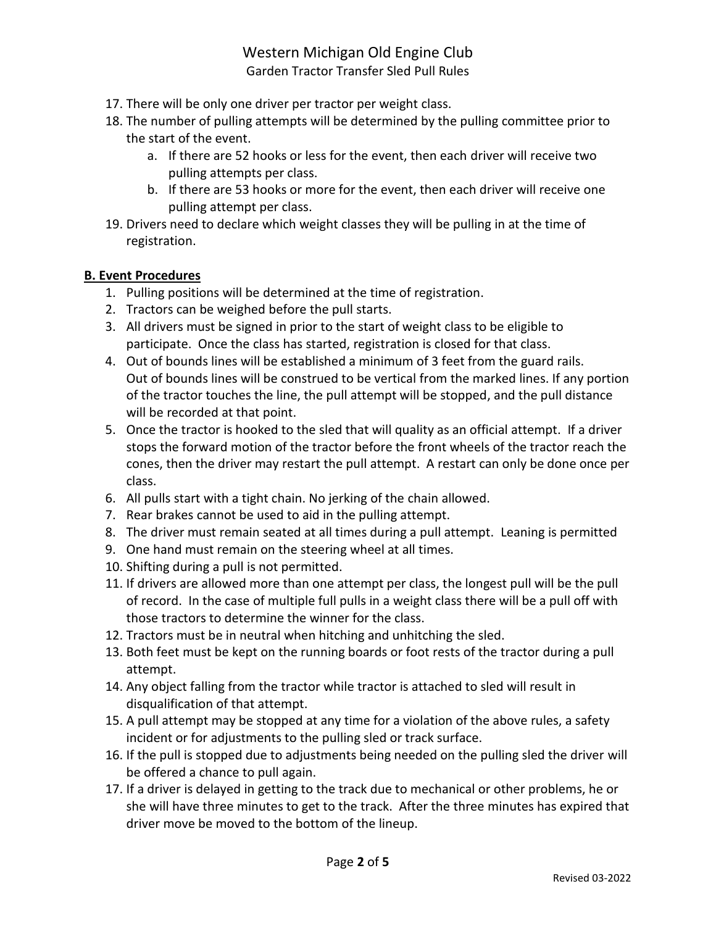# Western Michigan Old Engine Club

Garden Tractor Transfer Sled Pull Rules

- 17. There will be only one driver per tractor per weight class.
- 18. The number of pulling attempts will be determined by the pulling committee prior to the start of the event.
	- a. If there are 52 hooks or less for the event, then each driver will receive two pulling attempts per class.
	- b. If there are 53 hooks or more for the event, then each driver will receive one pulling attempt per class.
- 19. Drivers need to declare which weight classes they will be pulling in at the time of registration.

#### **B. Event Procedures**

- 1. Pulling positions will be determined at the time of registration.
- 2. Tractors can be weighed before the pull starts.
- 3. All drivers must be signed in prior to the start of weight class to be eligible to participate. Once the class has started, registration is closed for that class.
- 4. Out of bounds lines will be established a minimum of 3 feet from the guard rails. Out of bounds lines will be construed to be vertical from the marked lines. If any portion of the tractor touches the line, the pull attempt will be stopped, and the pull distance will be recorded at that point.
- 5. Once the tractor is hooked to the sled that will quality as an official attempt. If a driver stops the forward motion of the tractor before the front wheels of the tractor reach the cones, then the driver may restart the pull attempt. A restart can only be done once per class.
- 6. All pulls start with a tight chain. No jerking of the chain allowed.
- 7. Rear brakes cannot be used to aid in the pulling attempt.
- 8. The driver must remain seated at all times during a pull attempt. Leaning is permitted
- 9. One hand must remain on the steering wheel at all times.
- 10. Shifting during a pull is not permitted.
- 11. If drivers are allowed more than one attempt per class, the longest pull will be the pull of record. In the case of multiple full pulls in a weight class there will be a pull off with those tractors to determine the winner for the class.
- 12. Tractors must be in neutral when hitching and unhitching the sled.
- 13. Both feet must be kept on the running boards or foot rests of the tractor during a pull attempt.
- 14. Any object falling from the tractor while tractor is attached to sled will result in disqualification of that attempt.
- 15. A pull attempt may be stopped at any time for a violation of the above rules, a safety incident or for adjustments to the pulling sled or track surface.
- 16. If the pull is stopped due to adjustments being needed on the pulling sled the driver will be offered a chance to pull again.
- 17. If a driver is delayed in getting to the track due to mechanical or other problems, he or she will have three minutes to get to the track. After the three minutes has expired that driver move be moved to the bottom of the lineup.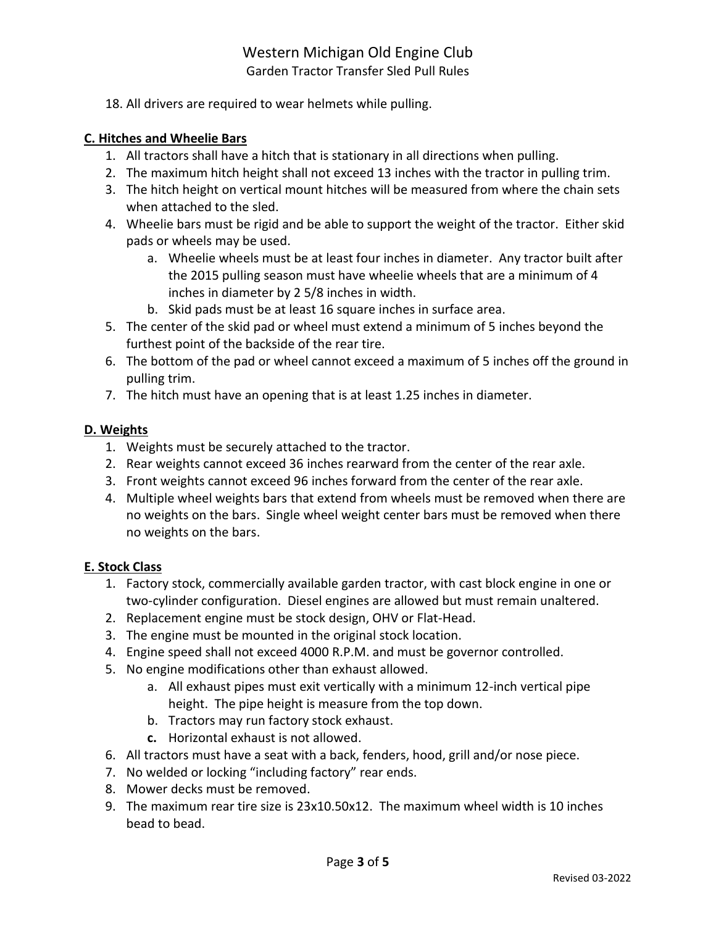# Western Michigan Old Engine Club Garden Tractor Transfer Sled Pull Rules

18. All drivers are required to wear helmets while pulling.

#### **C. Hitches and Wheelie Bars**

- 1. All tractors shall have a hitch that is stationary in all directions when pulling.
- 2. The maximum hitch height shall not exceed 13 inches with the tractor in pulling trim.
- 3. The hitch height on vertical mount hitches will be measured from where the chain sets when attached to the sled.
- 4. Wheelie bars must be rigid and be able to support the weight of the tractor. Either skid pads or wheels may be used.
	- a. Wheelie wheels must be at least four inches in diameter. Any tractor built after the 2015 pulling season must have wheelie wheels that are a minimum of 4 inches in diameter by 2 5/8 inches in width.
	- b. Skid pads must be at least 16 square inches in surface area.
- 5. The center of the skid pad or wheel must extend a minimum of 5 inches beyond the furthest point of the backside of the rear tire.
- 6. The bottom of the pad or wheel cannot exceed a maximum of 5 inches off the ground in pulling trim.
- 7. The hitch must have an opening that is at least 1.25 inches in diameter.

#### **D. Weights**

- 1. Weights must be securely attached to the tractor.
- 2. Rear weights cannot exceed 36 inches rearward from the center of the rear axle.
- 3. Front weights cannot exceed 96 inches forward from the center of the rear axle.
- 4. Multiple wheel weights bars that extend from wheels must be removed when there are no weights on the bars. Single wheel weight center bars must be removed when there no weights on the bars.

#### **E. Stock Class**

- 1. Factory stock, commercially available garden tractor, with cast block engine in one or two-cylinder configuration. Diesel engines are allowed but must remain unaltered.
- 2. Replacement engine must be stock design, OHV or Flat-Head.
- 3. The engine must be mounted in the original stock location.
- 4. Engine speed shall not exceed 4000 R.P.M. and must be governor controlled.
- 5. No engine modifications other than exhaust allowed.
	- a. All exhaust pipes must exit vertically with a minimum 12-inch vertical pipe height. The pipe height is measure from the top down.
	- b. Tractors may run factory stock exhaust.
	- **c.** Horizontal exhaust is not allowed.
- 6. All tractors must have a seat with a back, fenders, hood, grill and/or nose piece.
- 7. No welded or locking "including factory" rear ends.
- 8. Mower decks must be removed.
- 9. The maximum rear tire size is 23x10.50x12. The maximum wheel width is 10 inches bead to bead.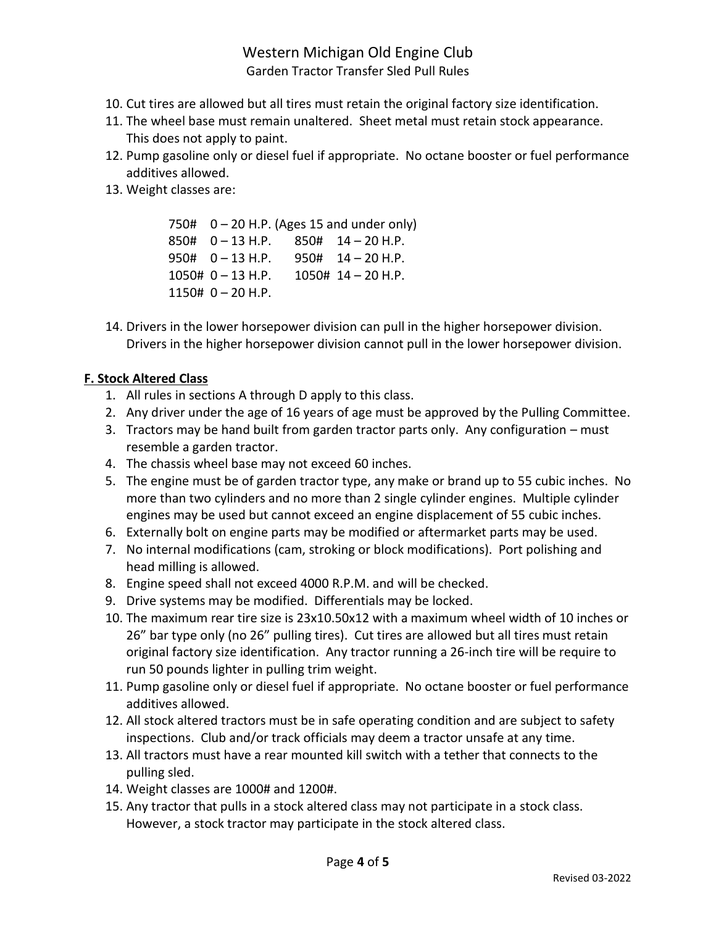# Western Michigan Old Engine Club Garden Tractor Transfer Sled Pull Rules

- 10. Cut tires are allowed but all tires must retain the original factory size identification.
- 11. The wheel base must remain unaltered. Sheet metal must retain stock appearance. This does not apply to paint.
- 12. Pump gasoline only or diesel fuel if appropriate. No octane booster or fuel performance additives allowed.
- 13. Weight classes are:

750#  $0 - 20$  H.P. (Ages 15 and under only) 850# 0 – 13 H.P. 850# 14 – 20 H.P. 950# 0 – 13 H.P. 950# 14 – 20 H.P. 1050# 0 – 13 H.P. 1050# 14 – 20 H.P.  $1150# 0 - 20$  H.P.

14. Drivers in the lower horsepower division can pull in the higher horsepower division. Drivers in the higher horsepower division cannot pull in the lower horsepower division.

#### **F. Stock Altered Class**

- 1. All rules in sections A through D apply to this class.
- 2. Any driver under the age of 16 years of age must be approved by the Pulling Committee.
- 3. Tractors may be hand built from garden tractor parts only. Any configuration must resemble a garden tractor.
- 4. The chassis wheel base may not exceed 60 inches.
- 5. The engine must be of garden tractor type, any make or brand up to 55 cubic inches. No more than two cylinders and no more than 2 single cylinder engines. Multiple cylinder engines may be used but cannot exceed an engine displacement of 55 cubic inches.
- 6. Externally bolt on engine parts may be modified or aftermarket parts may be used.
- 7. No internal modifications (cam, stroking or block modifications). Port polishing and head milling is allowed.
- 8. Engine speed shall not exceed 4000 R.P.M. and will be checked.
- 9. Drive systems may be modified. Differentials may be locked.
- 10. The maximum rear tire size is 23x10.50x12 with a maximum wheel width of 10 inches or 26" bar type only (no 26" pulling tires). Cut tires are allowed but all tires must retain original factory size identification. Any tractor running a 26-inch tire will be require to run 50 pounds lighter in pulling trim weight.
- 11. Pump gasoline only or diesel fuel if appropriate. No octane booster or fuel performance additives allowed.
- 12. All stock altered tractors must be in safe operating condition and are subject to safety inspections. Club and/or track officials may deem a tractor unsafe at any time.
- 13. All tractors must have a rear mounted kill switch with a tether that connects to the pulling sled.
- 14. Weight classes are 1000# and 1200#.
- 15. Any tractor that pulls in a stock altered class may not participate in a stock class. However, a stock tractor may participate in the stock altered class.